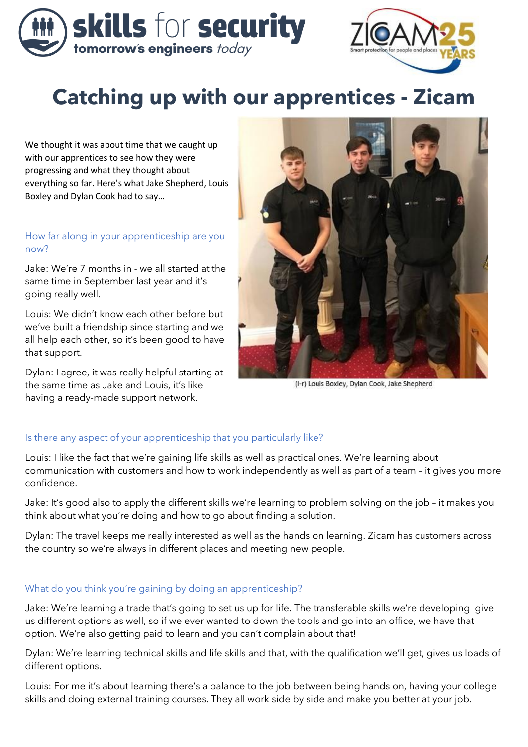



# **Catching up with our apprentices - Zicam**

We thought it was about time that we caught up with our apprentices to see how they were progressing and what they thought about everything so far. Here's what Jake Shepherd, Louis Boxley and Dylan Cook had to say…

# How far along in your apprenticeship are you now?

Jake: We're 7 months in - we all started at the same time in September last year and it's going really well.

Louis: We didn't know each other before but we've built a friendship since starting and we all help each other, so it's been good to have that support.

Dylan: I agree, it was really helpful starting at the same time as Jake and Louis, it's like having a ready-made support network.



(I-r) Louis Boxley, Dylan Cook, Jake Shepherd

# Is there any aspect of your apprenticeship that you particularly like?

Louis: I like the fact that we're gaining life skills as well as practical ones. We're learning about communication with customers and how to work independently as well as part of a team – it gives you more confidence.

Jake: It's good also to apply the different skills we're learning to problem solving on the job – it makes you think about what you're doing and how to go about finding a solution.

Dylan: The travel keeps me really interested as well as the hands on learning. Zicam has customers across the country so we're always in different places and meeting new people.

# What do you think you're gaining by doing an apprenticeship?

Jake: We're learning a trade that's going to set us up for life. The transferable skills we're developing give us different options as well, so if we ever wanted to down the tools and go into an office, we have that option. We're also getting paid to learn and you can't complain about that!

Dylan: We're learning technical skills and life skills and that, with the qualification we'll get, gives us loads of different options.

Louis: For me it's about learning there's a balance to the job between being hands on, having your college skills and doing external training courses. They all work side by side and make you better at your job.